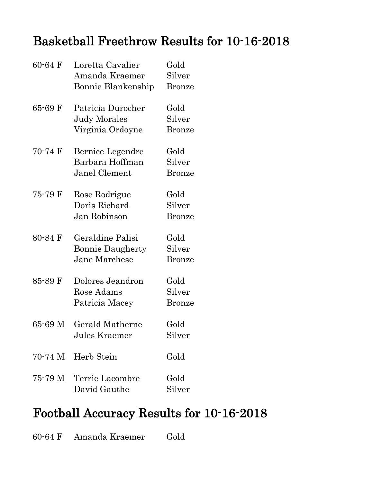#### Basketball Freethrow Results for 10-16-2018

| $60 - 64$ F | Loretta Cavalier<br>Amanda Kraemer<br>Bonnie Blankenship     | Gold<br>Silver<br><b>Bronze</b> |
|-------------|--------------------------------------------------------------|---------------------------------|
| $65 - 69$ F | Patricia Durocher<br><b>Judy Morales</b><br>Virginia Ordoyne | Gold<br>Silver<br><b>Bronze</b> |
| 70-74 F     | Bernice Legendre<br>Barbara Hoffman<br>Janel Clement         | Gold<br>Silver<br>Bronze        |
| 75-79 F     | Rose Rodrigue<br>Doris Richard<br>Jan Robinson               | Gold<br>Silver<br><b>Bronze</b> |
| 80-84 F     | Geraldine Palisi<br><b>Bonnie Daugherty</b><br>Jane Marchese | Gold<br>Silver<br><b>Bronze</b> |
| 85-89 F     | Dolores Jeandron<br>Rose Adams<br>Patricia Macey             | Gold<br>Silver<br><b>Bronze</b> |
| 65-69 M     | Gerald Matherne<br>Jules Kraemer                             | Gold<br>Silver                  |
|             | 70-74 M Herb Stein                                           | Gold                            |
|             | 75-79 M Terrie Lacombre<br>David Gauthe                      | Gold<br>Silver                  |

### Football Accuracy Results for 10-16-2018

60-64 F Amanda Kraemer Gold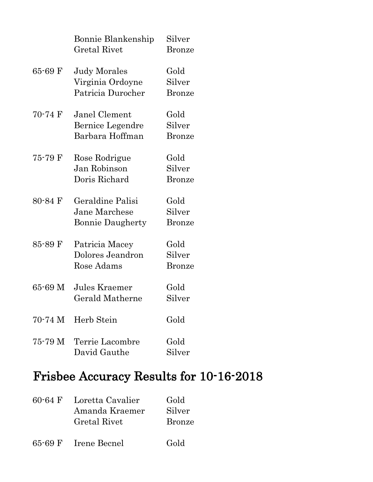|             | Bonnie Blankenship<br>Gretal Rivet                           | Silver<br><b>Bronze</b>         |
|-------------|--------------------------------------------------------------|---------------------------------|
| $65 - 69$ F | Judy Morales<br>Virginia Ordoyne<br>Patricia Durocher        | Gold<br>Silver<br><b>Bronze</b> |
| 70-74 F     | Janel Clement<br>Bernice Legendre<br>Barbara Hoffman         | Gold<br>Silver<br><b>Bronze</b> |
| 75-79 F     | Rose Rodrigue<br>Jan Robinson<br>Doris Richard               | Gold<br>Silver<br><b>Bronze</b> |
| $80 - 84$ F | Geraldine Palisi<br>Jane Marchese<br><b>Bonnie Daugherty</b> | Gold<br>Silver<br><b>Bronze</b> |
| 85-89 F     | Patricia Macey<br>Dolores Jeandron<br>Rose Adams             | Gold<br>Silver<br>Bronze        |
| 65-69 M     | Jules Kraemer<br>Gerald Matherne                             | Gold<br>Silver                  |
|             | 70-74 M Herb Stein                                           | Gold                            |
|             | 75-79 M Terrie Lacombre<br>David Gauthe                      | Gold<br>Silver                  |

## Frisbee Accuracy Results for 10-16-2018

| $60 - 64$ F | Loretta Cavalier | Gold          |
|-------------|------------------|---------------|
|             | Amanda Kraemer   | Silver        |
|             | Gretal Rivet     | <b>Bronze</b> |
|             |                  |               |

65-69 F Irene Becnel Gold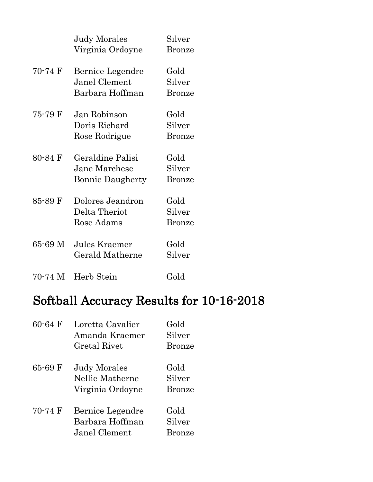|             | <b>Judy Morales</b><br>Virginia Ordoyne                      | Silver<br><b>Bronze</b>         |
|-------------|--------------------------------------------------------------|---------------------------------|
| 70-74 F     | Bernice Legendre<br>Janel Clement<br>Barbara Hoffman         | Gold<br>Silver<br><b>Bronze</b> |
| 75-79 F     | Jan Robinson<br>Doris Richard<br>Rose Rodrigue               | Gold<br>Silver<br>Bronze        |
| $80 - 84$ F | Geraldine Palisi<br>Jane Marchese<br><b>Bonnie Daugherty</b> | Gold<br>Silver<br><b>Bronze</b> |
| 85-89 F     | Dolores Jeandron<br>Delta Theriot<br>Rose Adams              | Gold<br>Silver<br><b>Bronze</b> |
| 65-69 M     | Jules Kraemer<br><b>Gerald Matherne</b>                      | Gold<br>Silver                  |
| 70-74 M     | Herb Stein                                                   | Gold                            |

# Softball Accuracy Results for 10-16-2018

| $60 - 64$ F       | Loretta Cavalier<br>Amanda Kraemer<br>Gretal Rivet         | Gold<br>Silver<br><b>Bronze</b> |
|-------------------|------------------------------------------------------------|---------------------------------|
| $65 - 69$ F       | <b>Judy Morales</b><br>Nellie Matherne<br>Virginia Ordoyne | Gold<br>Silver<br><b>Bronze</b> |
| $70-74 \text{ F}$ | Bernice Legendre<br>Barbara Hoffman<br>Janel Clement       | Gold<br>Silver<br>Bronze        |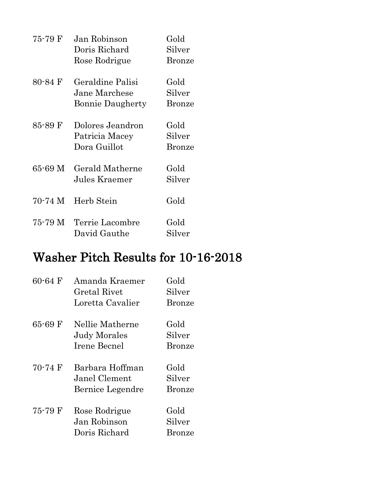| 75-79 F | Jan Robinson<br>Doris Richard<br>Rose Rodrigue               | Gold<br>Silver<br><b>Bronze</b> |
|---------|--------------------------------------------------------------|---------------------------------|
| 80-84 F | Geraldine Palisi<br>Jane Marchese<br><b>Bonnie Daugherty</b> | Gold<br>Silver<br><b>Bronze</b> |
| 85-89 F | Dolores Jeandron<br>Patricia Macey<br>Dora Guillot           | Gold<br>Silver<br><b>Bronze</b> |
| 65-69 M | Gerald Matherne<br>Jules Kraemer                             | Gold<br>Silver                  |
| 70-74 M | Herb Stein                                                   | Gold                            |
| 75-79 M | Terrie Lacombre<br>David Gauthe                              | Gold<br>Silver                  |

### Washer Pitch Results for 10-16-2018

| $60 - 64$ F       | Amanda Kraemer      | Gold          |
|-------------------|---------------------|---------------|
|                   | Gretal Rivet        | Silver        |
|                   | Loretta Cavalier    | <b>Bronze</b> |
| 65-69 F           | Nellie Matherne     | Gold          |
|                   | <b>Judy Morales</b> | Silver        |
|                   | <b>Irene Becnel</b> | <b>Bronze</b> |
| $70-74 \text{ F}$ | Barbara Hoffman     | Gold          |
|                   | Janel Clement       | Silver        |
|                   | Bernice Legendre    | <b>Bronze</b> |
| 75-79 F           | Rose Rodrigue       | Gold          |
|                   | Jan Robinson        | Silver        |
|                   | Doris Richard       | Bronze        |